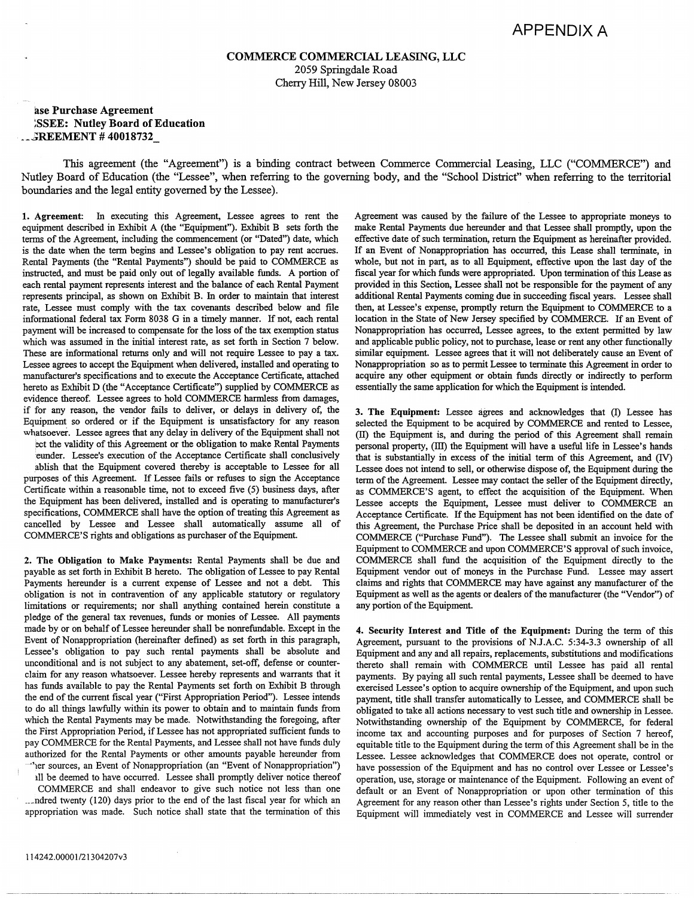## **COMMERCE COMMERCIAL LEASING, LLC**  2059 Springdale Road Cherry Hill, New Jersey 08003

## **ase Purchase Agreement ;ssEE: Nutley Board of Education**  . **--~REEMENT** # **40018732\_**

This agreement (the "Agreement'') is a binding contract between Commerce Commercial Leasing, LLC ("COMMERCE") and Nutley Board of Education (the "Lessee", when referring to the governing body, and the "School District" when referring to the territorial boundaries and the legal entity governed by the Lessee).

1. **Agreement:** In executing this Agreement, Lessee agrees to rent the equipment descn'bed in Exhibit A (the "Equipment"). Exhibit B sets forth the terms of the Agreement, including the commencement (or "Dated") date, which is the date when the term begins and Lessee's obligation to pay rent accrues. Rental Payments (the "Rental Payments") should be paid to COMMERCE as instructed, and must be paid only out of legally available funds. A portion of each rental payment represents interest and the balance of each Rental Payment represents principal, as shown on Exhibit B. In order to maintain that interest rate, Lessee must comply with the tax covenants described below and file informational federal tax Form 8038 G in a timely manner. If not, each rental payment will be increased to compensate for the loss of the tax exemption status which was assumed in the initial interest rate, as set forth in Section 7 below. These are informational returns only and will not require Lessee to pay a tax. Lessee agrees to accept the Equipment when delivered, installed and operating to manufacturer's specifications and to execute the Acceptance Certificate, attached hereto as Exhibit D (the "Acceptance Certificate") supplied by COMMERCE as evidence thereof. Lessee agrees to hold COMMERCE harmless from damages, if for any reason, the vendor fails to deliver, or delays in delivery of, the Equipment so ordered or if the Equipment is unsatisfactory for any reason whatsoever. Lessee agrees that any delay in delivery of the Equipment shall not ect the validity of this Agreement or the obligation to make Rental Payments

eunder. Lessee's execution of the Acceptance Certificate shall conclusively .ablish that the Equipment covered thereby is acceptable to Lessee for all purposes of this Agreement. If Lessee fails or refuses to sign the Acceptance Certificate within a reasonable time, not to exceed five (5) business days, after the Equipment has been delivered, installed and is operating to manufacturer's specifications, COMMERCE shall have the option of treating this Agreement as cancelled by Lessee and Lessee shall automatically assume all of COMMERCE'S rights and obligations as purchaser of the Equipment.

**2. The Obligation to Make Payments:** Rental Payments shall be due and payable as set forth in Exhibit B hereto. The obligation of Lessee to pay Rental Payments hereunder is a current expense of Lessee and not a debt. This obligation is not in contravention of any applicable statutory or regulatory limitations or requirements; nor shall anything contained herein constitute a pledge of the general tax revenues, funds or monies of Lessee. All payments made by or on behalf of Lessee hereunder shall be nonrefundable. Except in the Event of Nonappropriation (hereinafter defined) as set forth in this paragraph, Lessee's obligation to pay such rental payments shall be absolute and unconditional and is not subject to any abatement, set-off, defense or counterclaim for any reason whatsoever. Lessee hereby represents and warrants that it has funds available to pay the Rental Payments set forth on Exhibit B through the end of the current fiscal year ("First Appropriation Period''). Lessee intends to do all things lawfully within its power to obtain and to maintain funds from which the Rental Payments may be made. Notwithstanding the foregoing, after the First Appropriation Period, if Lessee has not appropriated sufficient funds to pay COMMERCE for the Rental Payments, and Lessee shall not have funds duly authorized for the Rental Payments or other amounts payable hereunder from -•1er sources, an Event of Nonappropriation (an "Event of Nonappropriation") ill be deemed to have occurred. Lessee shall promptly deliver notice thereof

COMMERCE and shall endeavor to give such notice not less than one \_\_\_ ndred twenty (120) days prior to the end of the last fiscal year for which an appropriation was made. Such notice shall state that the termination of this

Agreement was caused by the failure of the Lessee to appropriate moneys to make Rental Payments due hereunder and that Lessee shall promptly, upon the effective date of such termination, return the Equipment as hereinafter provided. If an Event of Nonappropriation has occurred, this Lease shall terminate, in whole, but not in part, as to all Equipment, effective upon the last day of the fiscal year for which funds were appropriated. Upon termination of this Lease as provided in this Section, Lessee shall not be responsible for the payment of any additional Rental Payments coming due in succeeding fiscal years. Lessee shall then, at Lessee's expense, promptly return the Equipment to COMMERCE to a location in the State of New Jersey specified by COMMERCE. If an Event of Nonappropriation has occurred, Lessee agrees, to the extent permitted by law and applicable public policy, not to purchase, lease or rent any other functionally similar equipment. Lessee agrees that it will not deliberately cause an Event of Nonappropriation so as to permit Lessee to terminate this Agreement in order to acquire any other equipment or obtain funds directly or indirectly to perform essentially the same application for which the Equipment is intended.

**3. The Equipment:** Lessee agrees and acknowledges that (I) Lessee has selected the Equipment to be acquired by COMMERCE and rented to Lessee, (II) the Equipment is, and during the period of this Agreement shall remain personal property, (III) the Equipment will have a useful life in Lessee's hands that is substantially in excess of the initial term of this Agreement, and (N) Lessee does not intend to sell, or otherwise dispose of, the Equipment during the term of the Agreement. Lessee may contact the seller of the Equipment directly, as COMMERCE'S agent, to effect the acquisition of the Equipment. When Lessee accepts the Equipment, Lessee must deliver to COMMERCE an Acceptance Certificate. If the Equipment has not been identified on the date of this Agreement, the Purchase Price shall be deposited in an account held with COMMERCE ("Purchase Fund"). The Lessee shall submit an invoice for the Equipment to COMMERCE and upon COMMERCE'S approval of such invoice, COMMERCE shall fund the acquisition of the Equipment directly to the Equipment vendor out of moneys in the Purchase Fund. Lessee may assert claims and rights that COMMERCE may have against any manufacturer of the Equipment as well as the agents or dealers of the manufacturer (the "Vendor") of any portion of the Equipment.

**4. Security Interest and Title of the Equipment:** During the term of this Agreement, pursuant to the provisions of N.J.A.C. 5:34-3.3 ownership of all Equipment and any and all repairs, replacements, substitutions and modifications thereto shall remain with COMMERCE until Lessee has paid all rental payments. By paying all such rental payments, Lessee shall be deemed to have exercised Lessee's option to acquire ownership of the Equipment, and upon such payment, title shall transfer automatically to Lessee, and COMMERCE shall be obligated to take all actions necessary to vest such title and ownership in Lessee. Notwithstanding ownership of the Equipment by COMMERCE, for federal income tax and accounting purposes and for purposes of Section 7 hereof, equitable title to the Equipment during the term of this Agreement shall be in the Lessee. Lessee acknowledges that COMMERCE does not operate, control or have possession of the Equipment and has no control over Lessee or Lessee's operation, use, storage or maintenance of the Equipment. Following an event of default or an Event of Nonappropriation or upon other termination of this Agreement for any reason other than Lessee's rights under Section *5,* title to the Equipment will immediately vest in COMMERCE and Lessee will surrender

-----~-----------------------------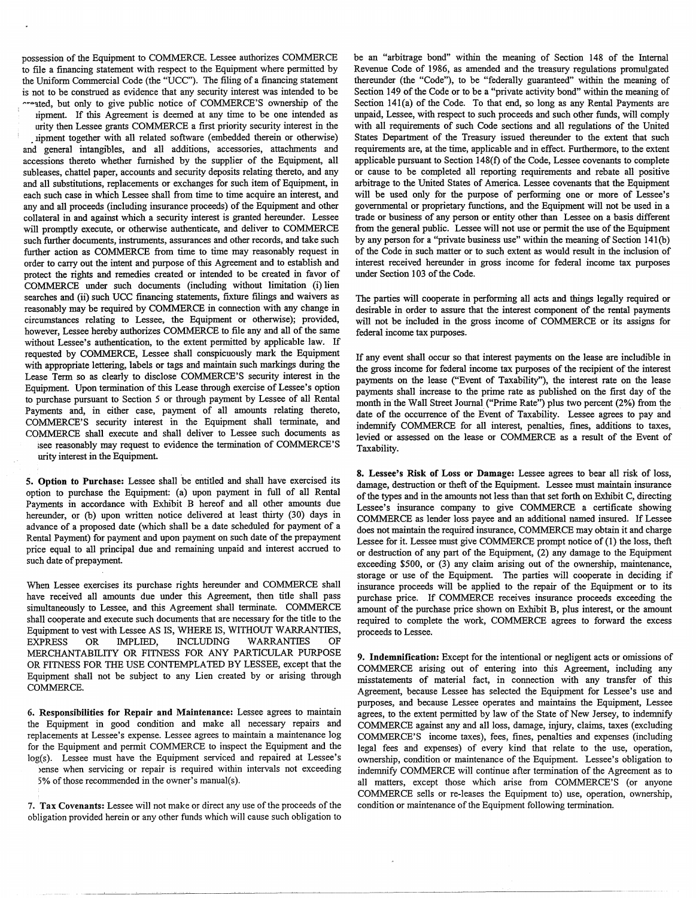possession of the Equipment to COMMERCE. Lessee authorizes COMMERCE to file a financing statement with respect to the Equipment where permitted by the Uniform Commercial Code (the "UCC"). The filing of a financing statement is not to be construed as evidence that any security interest was intended to be  $\sim$  21 and to give public notice of COMMERCE'S ownership of the

ipment. If this Agreement is deemed at any time to be one intended as urity then Lessee grants COMMERCE a first priority security interest in the ipment together with all related software (embedded therein or otherwise) and general intangibles, and all additions, accessories, attachments and accessions thereto whether furnished by the supplier of the Equipment, all subleases, chattel paper, accounts and security deposits relating thereto, and any and all substitutions, replacements or exchanges for such item of Equipment, in each such case in which Lessee shall from time to time acquire an interest, and any and all proceeds (including insurance proceeds) of the Equipment and other collateral in and against which a security interest is granted hereunder. Lessee will promptly execute, or otherwise authenticate, and deliver to COMMERCE such further documents, instruments, assurances and other records, and take such further action as COMMERCE from time to time may reasonably request in order to carry out the intent and purpose of this Agreement and to establish and protect the rights and remedies created or intended to be created in favor of COMMERCE under such documents (including without limitation (i) lien searches and (ii) such UCC financing statements, fixture filings and waivers as reasonably may be required by COMMERCE in connection with any change in circumstances relating to Lessee, the Equipment or otherwise); provided, however, Lessee hereby authorizes COMMERCE to file any and all of the same without Lessee's authentication, to the extent permitted by applicable law. If requested by COMMERCE, Lessee shall conspicuously mark the Equipment with appropriate lettering, labels or tags and maintain such markings during the Lease Term so as clearly to disclose COMMERCE'S security interest in the Equipment. Upon termination of this Lease through exercise of Lessee's option to purchase pursuant to Section 5 or through payment by Lessee of all Rental Payments and, in either case, payment of all amounts relating thereto, COMMERCE'S security interest in the Equipment shall terminate, and COMMERCE shall execute and shall deliver to Lessee such documents as ;see reasonably may request to evidence the termination of COMMERCE'S

urity interest in the Equipment.

5. **Option** to **Purchase:** Lessee shall be entitled and shall have exercised its option to purchase the Equipment: (a) upon payment in full of all Rental Payments in accordance with Exhibit B hereof and all other amounts due hereunder, or (b) upon written notice delivered at least thirty (30) days in advance of a proposed date (which shall be a date scheduled for payment of a Rental Payment) for payment and upon payment on such date of the prepayment price equal to all principal due and remaining unpaid and interest accrued to such date of prepayment.

When Lessee exercises its purchase rights hereunder and COMMERCE shall have received all amounts due under this Agreement, then title shall pass simultaneously to Lessee, and this Agreement shall terminate. COMMERCE shall cooperate and execute such documents that are necessary for the title to the Equipment to vest with Lessee AS IS, WHERE IS, WITHOUT WARRANTIES, EXPRESS OR IMPLIED, INCLUDING WARRANTIES OF MERCHANTABILITY OR FITNESS FOR ANY PARTICULAR PURPOSE OR FITNESS FOR THE USE CONTEMPLATED BY LESSEE, except that the Equipment shall not be subject to any Lien created by or arising through COMMERCE.

6. **Responsibilities for Repair and Maintenance:** Lessee agrees to maintain the Equipment in good condition and make all necessary repairs and replacements at Lessee's expense. Lessee agrees to maintain a maintenance log for the Equipment and permit COMMERCE to inspect the Equipment and the log(s). Lessee must have the Equipment serviced and repaired at Lessee's bense when servicing or repair is required within intervals not exceeding 5% of those recommended in the owner's manual(s).

7. **Tax Covenants:** Lessee will not make or direct any use of the proceeds of the obligation provided herein or any other funds which will cause such obligation to be an "arbitrage bond" within the meaning of Section 148 of the Internal Revenue Code of 1986, as amended and the treasury regulations promulgated thereunder (the "Code"), to be "federally guaranteed" within the meaning of Section 149 of the Code or to be a "private activity bond" within the meaning of Section 14l(a) of the Code. To that end, so long as any Rental Payments are unpaid, Lessee, with respect to such proceeds and such other funds, will comply with all requirements of such Code sections and all regulations of the United States Department of the Treasury issued thereunder to the extent that such requirements are, at the time, applicable and in effect. Furthermore, to the extent applicable pursuant to Section 148(f) of the Code, Lessee covenants to complete or cause to be completed all reporting requirements and rebate all positive arbitrage to the United States of America. Lessee covenants that the Equipment will be used only for the purpose of performing one or more of Lessee's governmental or proprietary functions, and the Equipment will not be used in a trade or business of any person or entity other than Lessee on a basis different from the general public. Lessee will not use or permit the use of the Equipment by any person for a "private business use" within the meaning of Section 141(b) of the Code in such matter or to such extent as would result in the inclusion of interest received hereunder in gross income for federal income tax purposes under Section 103 of the Code.

The parties will cooperate in performing all acts and things legally required or desirable in order to assure that the interest component of the rental payments will not be included in the gross income of COMMERCE or its assigns for federal income tax purposes.

1f any event shall occur so that interest payments on the lease are includible in the gross income for federal income tax purposes of the recipient of the interest payments on the lease ("Event of Taxability''), the interest rate on the lease payments shall increase to the prime rate as published on the first day of the month in the Wall Street Journal ("Prime Rate") plus two percent (2%) from the date of the occurrence of the Event of Taxability. Lessee agrees to pay and indemnify COMMERCE for all interest, penalties, fines, additions to taxes, levied or assessed on the lease or COMMERCE as a result of the Event of Taxability.

**8. Lessee's Risk of Loss or Damage:** Lessee agrees to bear all risk of loss, damage, destruction or theft of the Equipment. Lessee must maintain insurance of the types and in the amounts not less than that set forth on Exhibit C, directing Lessee's insurance company to give COMMERCE a certificate showing COMMERCE as lender loss payee and an additional named insured. 1f Lessee does not maintain the required insurance, COMMERCE may obtain it and charge Lessee for it. Lessee must give COMMERCE prompt notice of (1) the loss, theft or destruction of any part of the Equipment, (2) any damage to the Equipment exceeding \$500, or (3) any claim arising out of the ownership, maintenance, storage or use of the Equipment. The parties will cooperate in deciding if insurance proceeds will be applied to the repair of the Equipment or to its purchase price. 1f COMMERCE receives insurance proceeds exceeding the amount of the purchase price shown on Exhibit B, plus interest, or the amount required to complete the work, COMMERCE agrees to forward the excess proceeds to Lessee.

**9. Indemnification:** Except for the intentional or negligent acts or omissions of COMMERCE arising out of entering into this Agreement, including any misstatements of material fact, in connection with any transfer of this Agreement, because Lessee has selected the Equipment for Lessee's use and purposes, and because Lessee operates and maintains the Equipment, Lessee agrees, to the extent permitted by law of the State of New Jersey, to indemnify COMMERCE against any and all loss, damage, injury, claims, taxes (excluding COMMERCE'S income taxes), fees, fines, penalties and expenses (including legal fees and expenses) of every kind that relate to the use, operation, ownership, condition or maintenance of the Equipment. Lessee's obligation to indemnify COMMERCE will continue after termination of the Agreement as to all matters, except those which arise from COMMERCE'S (or anyone COMMERCE sells or re-leases the Equipment to) use, operation, ownership, condition or maintenance of the Equipment following termination.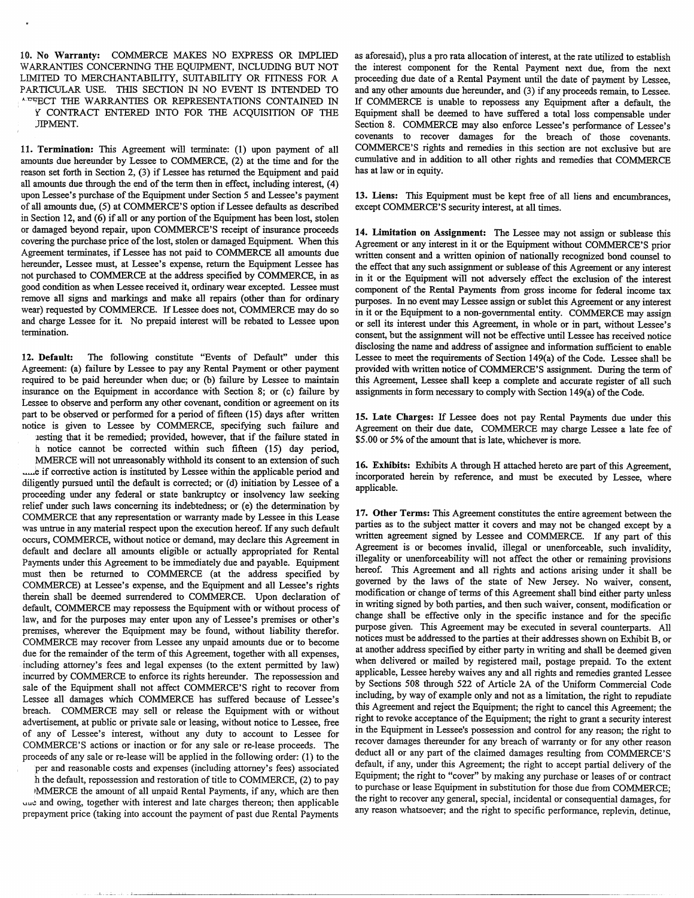10. **No Warranty:** COMMERCE MAKES NO EXPRESS OR IMPLIED WARRANTIES CONCERNING THE EOUIPMENT, INCLUDING BUT NOT LIMITED TO MERCHANTABILITY, SUITABILITY OR FITNESS FOR A PARTICULAR USE. THIS SECTION IN NO EVENT IS INTENDED TO AFFECT THE WARRANTIES OR REPRESENTATIONS CONTAINED IN *'{* CONTRACT ENTERED INTO FOR TIIE ACQUISITION OF TIIE JJPMENT.

11. **Termination:** This Agreement will terminate: (I) upon payment of all amounts due hereunder by Lessee to COMMERCE, (2) at the time and for the reason set forth in Section 2, (3) if Lessee has returned the Equipment and paid all amounts due through the end of the term then in effect, including interest, ( 4) upon Lessee's purchase of the Equipment under Section 5 and Lessee's payment of all amounts due, (5) at COMMERCE'S option if Lessee defaults as described in Section 12, and (6) if all or any portion of the Equipment has been lost, stolen or damaged beyond repair, upon COMMERCE'S receipt of insurance proceeds covering the purchase price of the lost, stolen or damaged Equipment. When this Agreement terminates, if Lessee has not paid to COMMERCE all amounts due hereunder, Lessee must, at Lessee's expense, return the Equipment Lessee has not purchased to COMMERCE at the address specified by COMMERCE, in as good condition as when Lessee received it, ordinary wear excepted. Lessee must remove all signs and markings and make all repairs (other than for ordinary wear) requested by COMMERCE. If Lessee does not, COMMERCE may do so and charge Lessee for it. No prepaid interest will be rebated to Lessee upon termination.

12. **Default:** The following constitute "Events of Default" under this Agreement: (a) failure by Lessee to pay any Rental Payment or other payment required to be paid hereunder when due; or (b) failure by Lessee to maintain insurance on the Equipment in accordance with Section 8; or (c) failure by Lessee to observe and perform any other covenant, condition or agreement on its part to be observed or performed for a period of fifteen (15) days after written notice is given to Lessee by COMMERCE, specifying such failure and uesting that it be remedied; provided, however, that if the failure stated in h. notice cannot be corrected within such fifteen (15) day period, MMERCE will not unreasonably withhold its consent to an extension of such .....e if corrective action is instituted by Lessee within the applicable period and diligently pursued until the default is corrected; or (d) initiation by Lessee of a proceeding under any federal or state bankruptcy or insolvency law seeking relief under such laws concerning its indebtedness; or (e) the determination by COMMERCE that any representation or warranty made by Lessee in this Lease was untrue in any material respect upon the execution hereof. If any such default occurs, COMMERCE, without notice or demand, may declare this Agreement in default and declare all amounts eligible or actually appropriated for Rental Payments under this Agreement to be immediately due and payable. Equipment must then be returned to COMMERCE (at the address specified by COMMERCE) at Lessee's expense, and the Equipment and all Lessee's rights therein shall be deemed surrendered to COMMERCE. Upon declaration of default, COMMERCE may repossess the Equipment with or without process of law, and for the purposes may enter upon any of Lessee's premises or other's premises, wherever the Equipment may be found, without liability therefor. COMMERCE may recover from Lessee any unpaid amounts due or to become due for the remainder of the term of this Agreement, together with all expenses, including attorney's fees and legal expenses (to the extent permitted by law) incurred by COMMERCE to enforce its rights hereunder. The repossession and sale of the Equipment shall not affect COMMERCE'S right to recover from Lessee all damages which COMMERCE has suffered because of Lessee's breach. COMMERCE may sell or release the Equipment with or without advertisement, at public or private sale or leasing, without notice to Lessee, free of any of Lessee's interest, without any duty to account to Lessee for COMMERCE'S actions or inaction or for any sale or re-lease proceeds. The proceeds of any sale or re-lease will be applied in the following order: (1) to the

'per and reasonable costs and expenses (including attorney's fees) associated h the default, repossession and restoration of title to COMMERCE, (2) to pay IMMERCE the amount of all unpaid Rental Payments, if any, which are then uue and owing, together with interest and late charges thereon; then applicable

prepayment price (taking into account the payment of past due Rental Payments

as aforesaid), plus a pro rata allocation of interest, at the rate utilized to establish the interest component for the Rental Payment next due, from the next proceeding due date of a Rental Payment until the date of payment by Lessee, and any other amounts due hereunder, and (3) if any proceeds remain, to Lessee. If COMMERCE is unable to repossess any Equipment after a default, the Equipment shall be deemed to have suffered a total loss compensable under Section 8. COMMERCE may also enforce Lessee's performance of Lessee's covenants to recover damages for the breach of those covenants. COMMERCE'S rights and remedies in this section are not exclusive but are cumulative and in addition to all other rights and remedies that COMMERCE has at law or in equity.

**13. Liens:** This Equipment must be kept free of all liens and encumbrances, except COMMERCE'S security interest, at all times.

**14. Limitation on Assignment:** The Lessee may not assign or sublease this Agreement or any interest in it or the Equipment without COMMERCE'S prior written consent and a written opinion of nationally recognized bond counsel to the effect that any such assignment or sublease of this Agreement or any interest in it or the Equipment will not adversely effect the exclusion of the interest component of the Rental Payments from gross income for federal income tax purposes. In no event may Lessee assign or sublet this Agreement or any interest in it or the Equipment to a non-governmental entity. COMMERCE may assign or sell its interest under this Agreement, in whole or in part, without Lessee's consent, but the assignment will not be effective until Lessee has received notice disclosing the name and address of assignee and information sufficient to enable Lessee to meet the requirements of Section 149(a) of the Code. Lessee shall be provided with written notice of COMMERCE'S assignment. During the term of this Agreement, Lessee shall keep a complete and accurate register of all such assignments in form necessary to comply with Section 149(a) of the Code.

**15. Late Charges:** If Lessee does not pay Rental Payments due under this Agreement on their due date, COMMERCE may charge Lessee a late fee of \$5.00 or *5%* of the amount that is late, whichever is more.

16. Exhibits: Exhibits A through H attached hereto are part of this Agreement, incorporated herein by reference, and must be executed by Lessee, where applicable.

17. **Other** Terms: This Agreement constitutes the entire agreement between the parties as to the subject matter it covers and may not be changed except by a written agreement signed by Lessee and COMMERCE. If any part of this Agreement is or becomes invalid, illegal or unenforceable, such invalidity, illegality or unenforceability will not affect the other or remaining provisions hereof. This Agreement and all rights and actions arising under it shall be governed by the laws of the state of New Jersey. No waiver, consent, modification or change of terms of this Agreement shall bind either party unless in writing signed by both parties, and then such waiver, consent, modification or change shall be effective only in the specific instance and for the specific purpose given. This Agreement may be executed in several counterparts. All notices must be addressed to the parties at their addresses shown on Exhibit B, or at another address specified by either party in writing and shall be deemed given when delivered or mailed by registered mail, postage prepaid. To the extent applicable, Lessee hereby waives any and all rights and remedies granted Lessee by Sections 508 through 522 of Article 2A of the Uniform Commercial Code including, by way of example only and not as a limitation, the right to repudiate this Agreement and reject the Equipment; the right to cancel this Agreement; the right to revoke acceptance of the Equipment; the right to grant a security interest in the Equipment in Lessee's possession and control for any reason; the right to recover damages thereunder for any breach of warranty or for any other reason deduct all or any part of the claimed damages resulting from COMMERCE'S default, if any, under this Agreement; the right to accept partial delivery of the Equipment; the right to "cover" by making any purchase or leases of or contract to purchase or lease Equipment in substitution for those due from COMMERCE; the right to recover any general, special, incidental or consequential damages, for any reason whatsoever; and the right to specific performance, replevin, detinue,